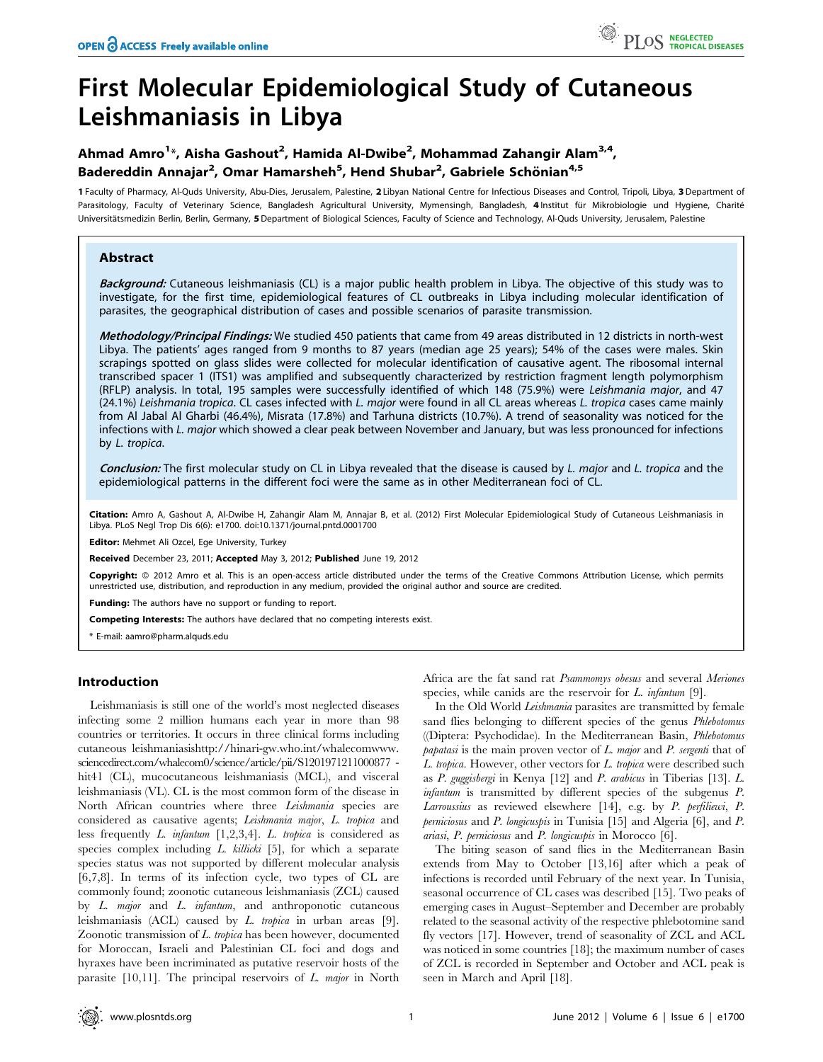# First Molecular Epidemiological Study of Cutaneous Leishmaniasis in Libya

# Ahmad Amro<sup>1</sup>\*, Aisha Gashout<sup>2</sup>, Hamida Al-Dwibe<sup>2</sup>, Mohammad Zahangir Alam<sup>3,4</sup>, Badereddin Annajar<sup>2</sup>, Omar Hamarsheh<sup>5</sup>, Hend Shubar<sup>2</sup>, Gabriele Schönian<sup>4,5</sup>

1 Faculty of Pharmacy, Al-Quds University, Abu-Dies, Jerusalem, Palestine, 2 Libyan National Centre for Infectious Diseases and Control, Tripoli, Libya, 3 Department of Parasitology, Faculty of Veterinary Science, Bangladesh Agricultural University, Mymensingh, Bangladesh, 4 Institut für Mikrobiologie und Hygiene, Charité Universitätsmedizin Berlin, Berlin, Germany, 5 Department of Biological Sciences, Faculty of Science and Technology, Al-Quds University, Jerusalem, Palestine

## Abstract

Background: Cutaneous leishmaniasis (CL) is a major public health problem in Libya. The objective of this study was to investigate, for the first time, epidemiological features of CL outbreaks in Libya including molecular identification of parasites, the geographical distribution of cases and possible scenarios of parasite transmission.

Methodology/Principal Findings: We studied 450 patients that came from 49 areas distributed in 12 districts in north-west Libya. The patients' ages ranged from 9 months to 87 years (median age 25 years); 54% of the cases were males. Skin scrapings spotted on glass slides were collected for molecular identification of causative agent. The ribosomal internal transcribed spacer 1 (ITS1) was amplified and subsequently characterized by restriction fragment length polymorphism (RFLP) analysis. In total, 195 samples were successfully identified of which 148 (75.9%) were Leishmania major, and 47 (24.1%) Leishmania tropica. CL cases infected with L. major were found in all CL areas whereas L. tropica cases came mainly from Al Jabal Al Gharbi (46.4%), Misrata (17.8%) and Tarhuna districts (10.7%). A trend of seasonality was noticed for the infections with L. major which showed a clear peak between November and January, but was less pronounced for infections by L. tropica.

Conclusion: The first molecular study on CL in Libya revealed that the disease is caused by L. major and L. tropica and the epidemiological patterns in the different foci were the same as in other Mediterranean foci of CL.

Citation: Amro A, Gashout A, Al-Dwibe H, Zahangir Alam M, Annajar B, et al. (2012) First Molecular Epidemiological Study of Cutaneous Leishmaniasis in Libya. PLoS Negl Trop Dis 6(6): e1700. doi:10.1371/journal.pntd.0001700

Editor: Mehmet Ali Ozcel, Ege University, Turkey

Received December 23, 2011; Accepted May 3, 2012; Published June 19, 2012

Copyright: © 2012 Amro et al. This is an open-access article distributed under the terms of the Creative Commons Attribution License, which permits unrestricted use, distribution, and reproduction in any medium, provided the original author and source are credited.

Funding: The authors have no support or funding to report.

Competing Interests: The authors have declared that no competing interests exist.

\* E-mail: aamro@pharm.alquds.edu

### Introduction

Leishmaniasis is still one of the world's most neglected diseases infecting some 2 million humans each year in more than 98 countries or territories. It occurs in three clinical forms including cutaneous leishmaniasishttp://hinari-gw.who.int/whalecomwww. sciencedirect.com/whalecom0/science/article/pii/S1201971211000877 hit41 (CL), mucocutaneous leishmaniasis (MCL), and visceral leishmaniasis (VL). CL is the most common form of the disease in North African countries where three Leishmania species are considered as causative agents; Leishmania major, L. tropica and less frequently  $L$ . infantum  $[1,2,3,4]$ .  $L$ . tropica is considered as species complex including  $L$ . *killicki* [5], for which a separate species status was not supported by different molecular analysis [6,7,8]. In terms of its infection cycle, two types of CL are commonly found; zoonotic cutaneous leishmaniasis (ZCL) caused by L. major and L. infantum, and anthroponotic cutaneous leishmaniasis (ACL) caused by L. tropica in urban areas [9]. Zoonotic transmission of L. tropica has been however, documented for Moroccan, Israeli and Palestinian CL foci and dogs and hyraxes have been incriminated as putative reservoir hosts of the parasite  $[10,11]$ . The principal reservoirs of L. major in North Africa are the fat sand rat Psammomys obesus and several Meriones species, while canids are the reservoir for  $L$ . *infantum* [9].

In the Old World Leishmania parasites are transmitted by female sand flies belonging to different species of the genus *Phlebotomus* ((Diptera: Psychodidae). In the Mediterranean Basin, Phlebotomus *papatasi* is the main proven vector of  $L$ . *major* and  $P$ . *sergenti* that of L. tropica. However, other vectors for L. tropica were described such as P. guggisbergi in Kenya [12] and P. arabicus in Tiberias [13]. L. infantum is transmitted by different species of the subgenus P. Larroussius as reviewed elsewhere [14], e.g. by P. perfiliewi, P. perniciosus and P. longicuspis in Tunisia [15] and Algeria [6], and P. ariasi, P. perniciosus and P. longicuspis in Morocco [6].

The biting season of sand flies in the Mediterranean Basin extends from May to October [13,16] after which a peak of infections is recorded until February of the next year. In Tunisia, seasonal occurrence of CL cases was described [15]. Two peaks of emerging cases in August–September and December are probably related to the seasonal activity of the respective phlebotomine sand fly vectors [17]. However, trend of seasonality of ZCL and ACL was noticed in some countries [18]; the maximum number of cases of ZCL is recorded in September and October and ACL peak is seen in March and April [18].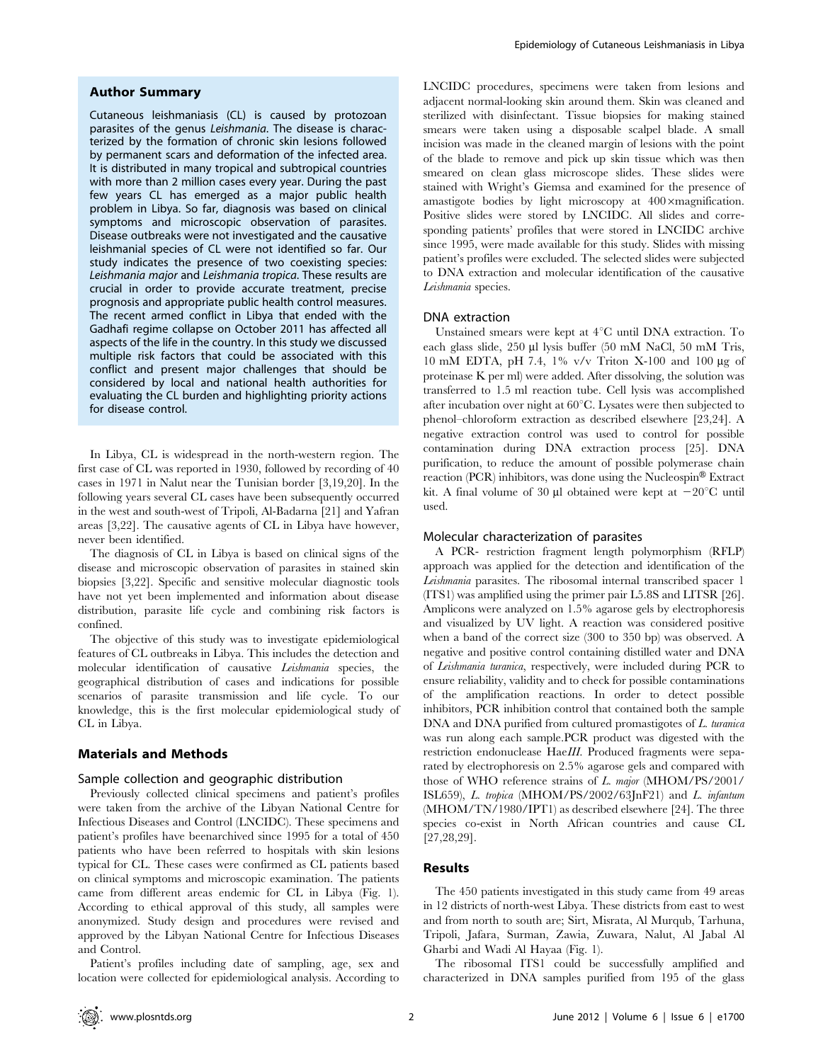#### Author Summary

Cutaneous leishmaniasis (CL) is caused by protozoan parasites of the genus Leishmania. The disease is characterized by the formation of chronic skin lesions followed by permanent scars and deformation of the infected area. It is distributed in many tropical and subtropical countries with more than 2 million cases every year. During the past few years CL has emerged as a major public health problem in Libya. So far, diagnosis was based on clinical symptoms and microscopic observation of parasites. Disease outbreaks were not investigated and the causative leishmanial species of CL were not identified so far. Our study indicates the presence of two coexisting species: Leishmania major and Leishmania tropica. These results are crucial in order to provide accurate treatment, precise prognosis and appropriate public health control measures. The recent armed conflict in Libya that ended with the Gadhafi regime collapse on October 2011 has affected all aspects of the life in the country. In this study we discussed multiple risk factors that could be associated with this conflict and present major challenges that should be considered by local and national health authorities for evaluating the CL burden and highlighting priority actions for disease control.

In Libya, CL is widespread in the north-western region. The first case of CL was reported in 1930, followed by recording of 40 cases in 1971 in Nalut near the Tunisian border [3,19,20]. In the following years several CL cases have been subsequently occurred in the west and south-west of Tripoli, Al-Badarna [21] and Yafran areas [3,22]. The causative agents of CL in Libya have however, never been identified.

The diagnosis of CL in Libya is based on clinical signs of the disease and microscopic observation of parasites in stained skin biopsies [3,22]. Specific and sensitive molecular diagnostic tools have not yet been implemented and information about disease distribution, parasite life cycle and combining risk factors is confined.

The objective of this study was to investigate epidemiological features of CL outbreaks in Libya. This includes the detection and molecular identification of causative Leishmania species, the geographical distribution of cases and indications for possible scenarios of parasite transmission and life cycle. To our knowledge, this is the first molecular epidemiological study of CL in Libya.

#### Materials and Methods

#### Sample collection and geographic distribution

Previously collected clinical specimens and patient's profiles were taken from the archive of the Libyan National Centre for Infectious Diseases and Control (LNCIDC). These specimens and patient's profiles have beenarchived since 1995 for a total of 450 patients who have been referred to hospitals with skin lesions typical for CL. These cases were confirmed as CL patients based on clinical symptoms and microscopic examination. The patients came from different areas endemic for CL in Libya (Fig. 1). According to ethical approval of this study, all samples were anonymized. Study design and procedures were revised and approved by the Libyan National Centre for Infectious Diseases and Control.

Patient's profiles including date of sampling, age, sex and location were collected for epidemiological analysis. According to

LNCIDC procedures, specimens were taken from lesions and adjacent normal-looking skin around them. Skin was cleaned and sterilized with disinfectant. Tissue biopsies for making stained smears were taken using a disposable scalpel blade. A small incision was made in the cleaned margin of lesions with the point of the blade to remove and pick up skin tissue which was then smeared on clean glass microscope slides. These slides were stained with Wright's Giemsa and examined for the presence of amastigote bodies by light microscopy at  $400 \times$ magnification. Positive slides were stored by LNCIDC. All slides and corresponding patients' profiles that were stored in LNCIDC archive since 1995, were made available for this study. Slides with missing patient's profiles were excluded. The selected slides were subjected to DNA extraction and molecular identification of the causative Leishmania species.

#### DNA extraction

Unstained smears were kept at  $4^{\circ}$ C until DNA extraction. To each glass slide, 250 ml lysis buffer (50 mM NaCl, 50 mM Tris, 10 mM EDTA, pH 7.4, 1% v/v Triton X-100 and 100 mg of proteinase K per ml) were added. After dissolving, the solution was transferred to 1.5 ml reaction tube. Cell lysis was accomplished after incubation over night at  $60^{\circ}$ C. Lysates were then subjected to phenol–chloroform extraction as described elsewhere [23,24]. A negative extraction control was used to control for possible contamination during DNA extraction process [25]. DNA purification, to reduce the amount of possible polymerase chain reaction (PCR) inhibitors, was done using the Nucleospin<sup>®</sup> Extract kit. A final volume of 30 µl obtained were kept at  $-20^{\circ}$ C until used.

#### Molecular characterization of parasites

A PCR- restriction fragment length polymorphism (RFLP) approach was applied for the detection and identification of the Leishmania parasites. The ribosomal internal transcribed spacer 1 (ITS1) was amplified using the primer pair L5.8S and LITSR [26]. Amplicons were analyzed on 1.5% agarose gels by electrophoresis and visualized by UV light. A reaction was considered positive when a band of the correct size (300 to 350 bp) was observed. A negative and positive control containing distilled water and DNA of Leishmania turanica, respectively, were included during PCR to ensure reliability, validity and to check for possible contaminations of the amplification reactions. In order to detect possible inhibitors, PCR inhibition control that contained both the sample DNA and DNA purified from cultured promastigotes of L. turanica was run along each sample.PCR product was digested with the restriction endonuclease HaeIII. Produced fragments were separated by electrophoresis on 2.5% agarose gels and compared with those of WHO reference strains of L. major (MHOM/PS/2001/ ISL659), L. tropica (MHOM/PS/2002/63JnF21) and L. infantum (MHOM/TN/1980/IPT1) as described elsewhere [24]. The three species co-exist in North African countries and cause CL [27,28,29].

#### Results

The 450 patients investigated in this study came from 49 areas in 12 districts of north-west Libya. These districts from east to west and from north to south are; Sirt, Misrata, Al Murqub, Tarhuna, Tripoli, Jafara, Surman, Zawia, Zuwara, Nalut, Al Jabal Al Gharbi and Wadi Al Hayaa (Fig. 1).

The ribosomal ITS1 could be successfully amplified and characterized in DNA samples purified from 195 of the glass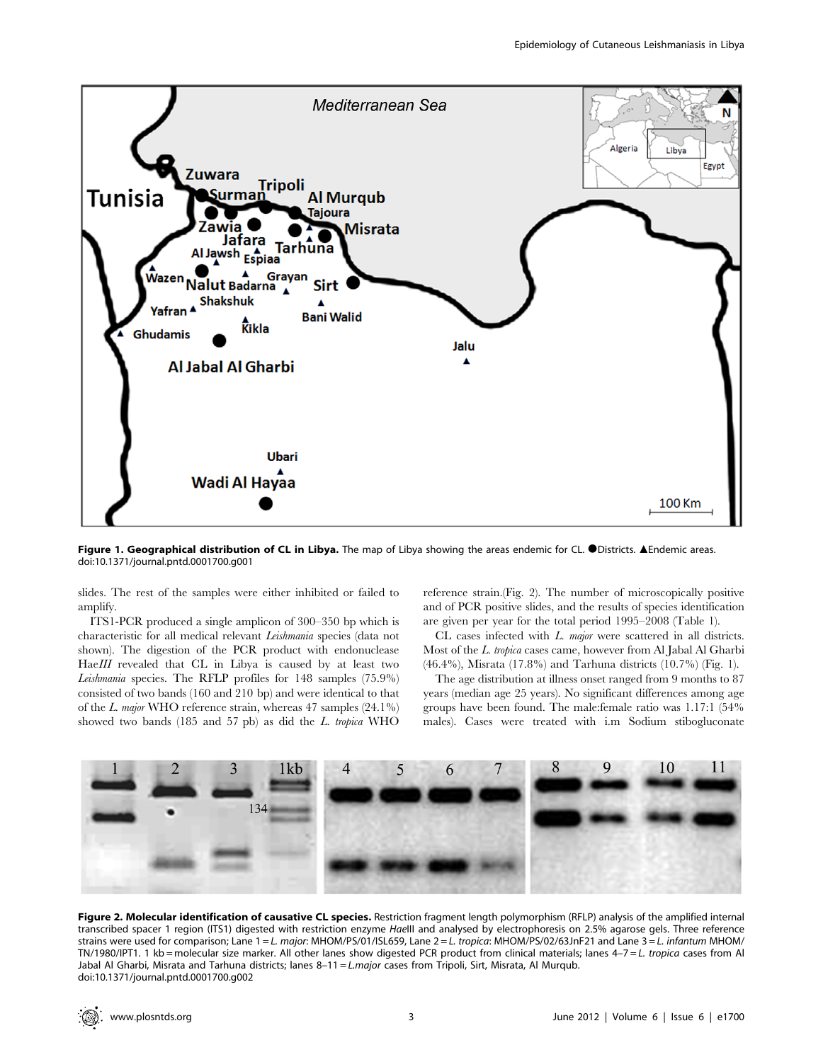

Figure 1. Geographical distribution of CL in Libya. The map of Libya showing the areas endemic for CL. ODistricts. AEndemic areas. doi:10.1371/journal.pntd.0001700.g001

slides. The rest of the samples were either inhibited or failed to amplify.

ITS1-PCR produced a single amplicon of 300–350 bp which is characteristic for all medical relevant Leishmania species (data not shown). The digestion of the PCR product with endonuclease HaeIII revealed that CL in Libya is caused by at least two Leishmania species. The RFLP profiles for 148 samples (75.9%) consisted of two bands (160 and 210 bp) and were identical to that of the L. major WHO reference strain, whereas 47 samples  $(24.1\%)$ showed two bands (185 and 57 pb) as did the L. tropica WHO reference strain.(Fig. 2). The number of microscopically positive and of PCR positive slides, and the results of species identification are given per year for the total period 1995–2008 (Table 1).

CL cases infected with L. major were scattered in all districts. Most of the L. tropica cases came, however from Al Jabal Al Gharbi (46.4%), Misrata (17.8%) and Tarhuna districts (10.7%) (Fig. 1).

The age distribution at illness onset ranged from 9 months to 87 years (median age 25 years). No significant differences among age groups have been found. The male:female ratio was 1.17:1 (54% males). Cases were treated with i.m Sodium stibogluconate



Figure 2. Molecular identification of causative CL species. Restriction fragment length polymorphism (RFLP) analysis of the amplified internal transcribed spacer 1 region (ITS1) digested with restriction enzyme HaellI and analysed by electrophoresis on 2.5% agarose gels. Three reference strains were used for comparison; Lane 1 = L. major: MHOM/PS/01/ISL659, Lane 2 = L. tropica: MHOM/PS/02/63JnF21 and Lane 3 = L. infantum MHOM/ TN/1980/IPT1. 1 kb = molecular size marker. All other lanes show digested PCR product from clinical materials; lanes 4-7 = L. tropica cases from Al Jabal Al Gharbi, Misrata and Tarhuna districts; lanes 8-11 = L.major cases from Tripoli, Sirt, Misrata, Al Murqub. doi:10.1371/journal.pntd.0001700.g002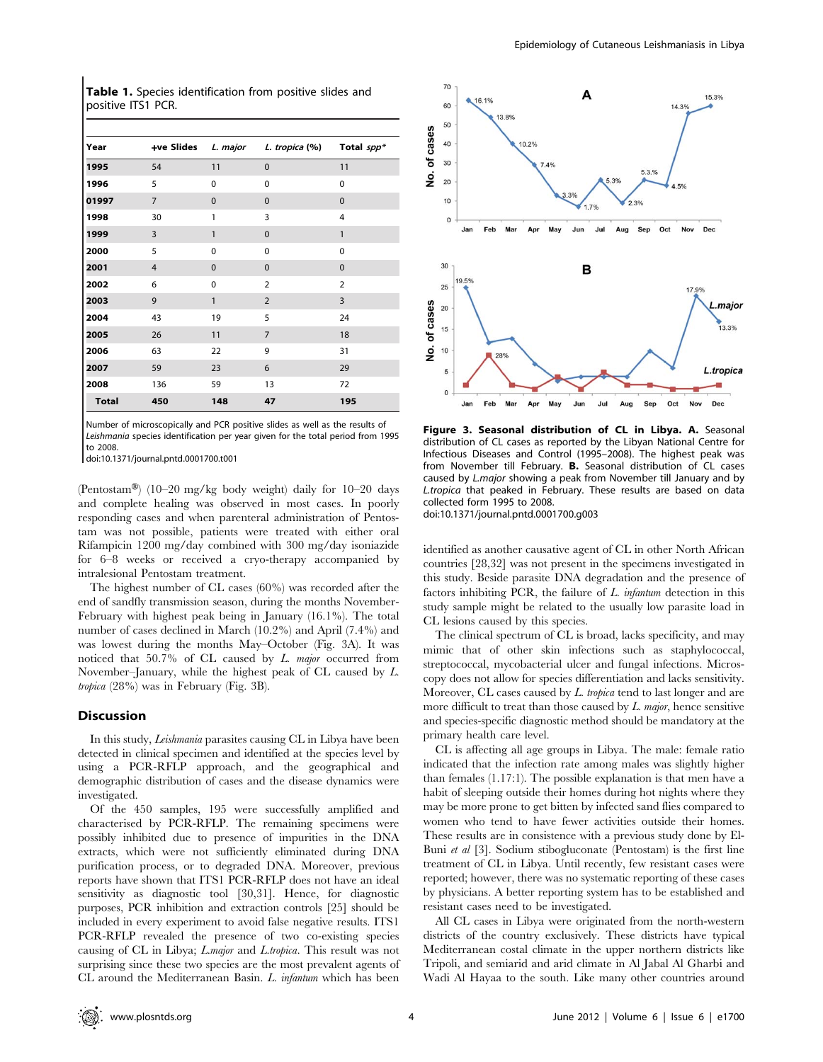| Year         | +ve Slides L. major |              | L. tropica (%) | Total spp*     |
|--------------|---------------------|--------------|----------------|----------------|
| 1995         | 54                  | 11           | $\mathbf{0}$   | 11             |
| 1996         | 5                   | 0            | 0              | $\Omega$       |
| 01997        | $\overline{7}$      | $\mathbf 0$  | $\Omega$       | $\Omega$       |
| 1998         | 30                  | 1            | 3              | 4              |
| 1999         | 3                   | $\mathbf{1}$ | $\mathbf{0}$   | $\mathbf{1}$   |
| 2000         | 5                   | 0            | 0              | $\Omega$       |
| 2001         | $\overline{4}$      | $\mathbf{0}$ | $\Omega$       | $\Omega$       |
| 2002         | 6                   | 0            | $\overline{2}$ | $\overline{2}$ |
| 2003         | 9                   | $\mathbf{1}$ | $\overline{2}$ | 3              |
| 2004         | 43                  | 19           | 5              | 24             |
| 2005         | 26                  | 11           | $\overline{7}$ | 18             |
| 2006         | 63                  | 22           | 9              | 31             |
| 2007         | 59                  | 23           | 6              | 29             |
| 2008         | 136                 | 59           | 13             | 72             |
| <b>Total</b> | 450                 | 148          | 47             | 195            |

Table 1. Species identification from positive slides and positive ITS1 PCR.

Number of microscopically and PCR positive slides as well as the results of Leishmania species identification per year given for the total period from 1995 to 2008.

doi:10.1371/journal.pntd.0001700.t001

(Pentostam®) (10–20 mg/kg body weight) daily for 10–20 days and complete healing was observed in most cases. In poorly responding cases and when parenteral administration of Pentostam was not possible, patients were treated with either oral Rifampicin 1200 mg/day combined with 300 mg/day isoniazide for 6–8 weeks or received a cryo-therapy accompanied by intralesional Pentostam treatment.

The highest number of CL cases (60%) was recorded after the end of sandfly transmission season, during the months November-February with highest peak being in January (16.1%). The total number of cases declined in March (10.2%) and April (7.4%) and was lowest during the months May–October (Fig. 3A). It was noticed that 50.7% of CL caused by L. major occurred from November–January, while the highest peak of CL caused by L. tropica (28%) was in February (Fig. 3B).

#### Discussion

In this study, Leishmania parasites causing CL in Libya have been detected in clinical specimen and identified at the species level by using a PCR-RFLP approach, and the geographical and demographic distribution of cases and the disease dynamics were investigated.

Of the 450 samples, 195 were successfully amplified and characterised by PCR-RFLP. The remaining specimens were possibly inhibited due to presence of impurities in the DNA extracts, which were not sufficiently eliminated during DNA purification process, or to degraded DNA. Moreover, previous reports have shown that ITS1 PCR-RFLP does not have an ideal sensitivity as diagnostic tool [30,31]. Hence, for diagnostic purposes, PCR inhibition and extraction controls [25] should be included in every experiment to avoid false negative results. ITS1 PCR-RFLP revealed the presence of two co-existing species causing of CL in Libya; *L.major* and *L.tropica*. This result was not surprising since these two species are the most prevalent agents of CL around the Mediterranean Basin. L. infantum which has been



Figure 3. Seasonal distribution of CL in Libya. A. Seasonal distribution of CL cases as reported by the Libyan National Centre for Infectious Diseases and Control (1995–2008). The highest peak was from November till February. B. Seasonal distribution of CL cases caused by L.major showing a peak from November till January and by L.tropica that peaked in February. These results are based on data collected form 1995 to 2008.

Dec

doi:10.1371/journal.pntd.0001700.g003

 $\theta$ 

Jan Feb Mar Apr May Jun Jul Aug Sep Oct **Nov** 

identified as another causative agent of CL in other North African countries [28,32] was not present in the specimens investigated in this study. Beside parasite DNA degradation and the presence of factors inhibiting PCR, the failure of  $L$ . infantum detection in this study sample might be related to the usually low parasite load in CL lesions caused by this species.

The clinical spectrum of CL is broad, lacks specificity, and may mimic that of other skin infections such as staphylococcal, streptococcal, mycobacterial ulcer and fungal infections. Microscopy does not allow for species differentiation and lacks sensitivity. Moreover, CL cases caused by L. tropica tend to last longer and are more difficult to treat than those caused by  $L$ . major, hence sensitive and species-specific diagnostic method should be mandatory at the primary health care level.

CL is affecting all age groups in Libya. The male: female ratio indicated that the infection rate among males was slightly higher than females (1.17:1). The possible explanation is that men have a habit of sleeping outside their homes during hot nights where they may be more prone to get bitten by infected sand flies compared to women who tend to have fewer activities outside their homes. These results are in consistence with a previous study done by El-Buni et al [3]. Sodium stibogluconate (Pentostam) is the first line treatment of CL in Libya. Until recently, few resistant cases were reported; however, there was no systematic reporting of these cases by physicians. A better reporting system has to be established and resistant cases need to be investigated.

All CL cases in Libya were originated from the north-western districts of the country exclusively. These districts have typical Mediterranean costal climate in the upper northern districts like Tripoli, and semiarid and arid climate in Al Jabal Al Gharbi and Wadi Al Hayaa to the south. Like many other countries around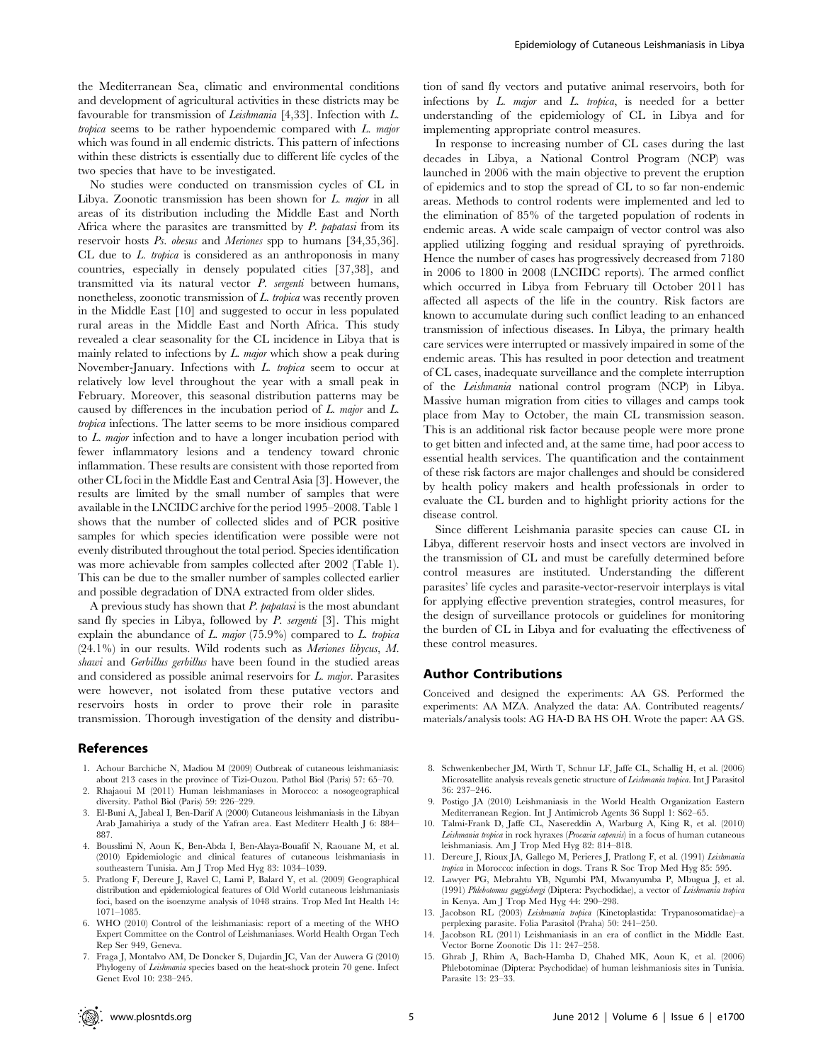the Mediterranean Sea, climatic and environmental conditions and development of agricultural activities in these districts may be favourable for transmission of Leishmania [4,33]. Infection with L. tropica seems to be rather hypoendemic compared with L. major which was found in all endemic districts. This pattern of infections within these districts is essentially due to different life cycles of the two species that have to be investigated.

No studies were conducted on transmission cycles of CL in Libya. Zoonotic transmission has been shown for L. major in all areas of its distribution including the Middle East and North Africa where the parasites are transmitted by  $P$ . papatasi from its reservoir hosts Ps. obesus and Meriones spp to humans [34,35,36]. CL due to L. tropica is considered as an anthroponosis in many countries, especially in densely populated cities [37,38], and transmitted via its natural vector  $P$ . sergenti between humans, nonetheless, zoonotic transmission of L. tropica was recently proven in the Middle East [10] and suggested to occur in less populated rural areas in the Middle East and North Africa. This study revealed a clear seasonality for the CL incidence in Libya that is mainly related to infections by  $L$  *major* which show a peak during November-January. Infections with L. tropica seem to occur at relatively low level throughout the year with a small peak in February. Moreover, this seasonal distribution patterns may be caused by differences in the incubation period of L. major and L. tropica infections. The latter seems to be more insidious compared to L. major infection and to have a longer incubation period with fewer inflammatory lesions and a tendency toward chronic inflammation. These results are consistent with those reported from other CL foci in the Middle East and Central Asia [3]. However, the results are limited by the small number of samples that were available in the LNCIDC archive for the period 1995–2008. Table 1 shows that the number of collected slides and of PCR positive samples for which species identification were possible were not evenly distributed throughout the total period. Species identification was more achievable from samples collected after 2002 (Table 1). This can be due to the smaller number of samples collected earlier and possible degradation of DNA extracted from older slides.

A previous study has shown that P. papatasi is the most abundant sand fly species in Libya, followed by  $P$ . sergenti [3]. This might explain the abundance of  $L.$  major (75.9%) compared to  $L.$  tropica (24.1%) in our results. Wild rodents such as Meriones libycus, M. shawi and Gerbillus gerbillus have been found in the studied areas and considered as possible animal reservoirs for L. major. Parasites were however, not isolated from these putative vectors and reservoirs hosts in order to prove their role in parasite transmission. Thorough investigation of the density and distribu-

#### References

- 1. Achour Barchiche N, Madiou M (2009) Outbreak of cutaneous leishmaniasis: about 213 cases in the province of Tizi-Ouzou. Pathol Biol (Paris) 57: 65–70.
- 2. Rhajaoui M (2011) Human leishmaniases in Morocco: a nosogeographical diversity. Pathol Biol (Paris) 59: 226–229.
- 3. El-Buni A, Jabeal I, Ben-Darif A (2000) Cutaneous leishmaniasis in the Libyan Arab Jamahiriya a study of the Yafran area. East Mediterr Health J 6: 884– 887.
- 4. Bousslimi N, Aoun K, Ben-Abda I, Ben-Alaya-Bouafif N, Raouane M, et al. (2010) Epidemiologic and clinical features of cutaneous leishmaniasis in southeastern Tunisia. Am J Trop Med Hyg 83: 1034–1039.
- 5. Pratlong F, Dereure J, Ravel C, Lami P, Balard Y, et al. (2009) Geographical distribution and epidemiological features of Old World cutaneous leishmaniasis foci, based on the isoenzyme analysis of 1048 strains. Trop Med Int Health 14: 1071–1085.
- 6. WHO (2010) Control of the leishmaniasis: report of a meeting of the WHO Expert Committee on the Control of Leishmaniases. World Health Organ Tech Rep Ser 949, Geneva.
- 7. Fraga J, Montalvo AM, De Doncker S, Dujardin JC, Van der Auwera G (2010) Phylogeny of Leishmania species based on the heat-shock protein 70 gene. Infect Genet Evol 10: 238–245.

tion of sand fly vectors and putative animal reservoirs, both for infections by  $L$ . major and  $L$ . tropica, is needed for a better understanding of the epidemiology of CL in Libya and for implementing appropriate control measures.

In response to increasing number of CL cases during the last decades in Libya, a National Control Program (NCP) was launched in 2006 with the main objective to prevent the eruption of epidemics and to stop the spread of CL to so far non-endemic areas. Methods to control rodents were implemented and led to the elimination of 85% of the targeted population of rodents in endemic areas. A wide scale campaign of vector control was also applied utilizing fogging and residual spraying of pyrethroids. Hence the number of cases has progressively decreased from 7180 in 2006 to 1800 in 2008 (LNCIDC reports). The armed conflict which occurred in Libya from February till October 2011 has affected all aspects of the life in the country. Risk factors are known to accumulate during such conflict leading to an enhanced transmission of infectious diseases. In Libya, the primary health care services were interrupted or massively impaired in some of the endemic areas. This has resulted in poor detection and treatment of CL cases, inadequate surveillance and the complete interruption of the Leishmania national control program (NCP) in Libya. Massive human migration from cities to villages and camps took place from May to October, the main CL transmission season. This is an additional risk factor because people were more prone to get bitten and infected and, at the same time, had poor access to essential health services. The quantification and the containment of these risk factors are major challenges and should be considered by health policy makers and health professionals in order to evaluate the CL burden and to highlight priority actions for the disease control.

Since different Leishmania parasite species can cause CL in Libya, different reservoir hosts and insect vectors are involved in the transmission of CL and must be carefully determined before control measures are instituted. Understanding the different parasites' life cycles and parasite-vector-reservoir interplays is vital for applying effective prevention strategies, control measures, for the design of surveillance protocols or guidelines for monitoring the burden of CL in Libya and for evaluating the effectiveness of these control measures.

#### Author Contributions

Conceived and designed the experiments: AA GS. Performed the experiments: AA MZA. Analyzed the data: AA. Contributed reagents/ materials/analysis tools: AG HA-D BA HS OH. Wrote the paper: AA GS.

- 8. Schwenkenbecher JM, Wirth T, Schnur LF, Jaffe CL, Schallig H, et al. (2006) Microsatellite analysis reveals genetic structure of Leishmania tropica. Int J Parasitol 36: 237–246.
- 9. Postigo JA (2010) Leishmaniasis in the World Health Organization Eastern Mediterranean Region. Int J Antimicrob Agents 36 Suppl 1: S62–65.
- 10. Talmi-Frank D, Jaffe CL, Nasereddin A, Warburg A, King R, et al. (2010) Leishmania tropica in rock hyraxes (Procavia capensis) in a focus of human cutaneous leishmaniasis. Am J Trop Med Hyg 82: 814–818.
- 11. Dereure J, Rioux JA, Gallego M, Perieres J, Pratlong F, et al. (1991) Leishmania tropica in Morocco: infection in dogs. Trans R Soc Trop Med Hyg 85: 595.
- 12. Lawyer PG, Mebrahtu YB, Ngumbi PM, Mwanyumba P, Mbugua J, et al. (1991) Phlebotomus guggisbergi (Diptera: Psychodidae), a vector of Leishmania tropica in Kenya. Am J Trop Med Hyg 44: 290–298.
- 13. Jacobson RL (2003) Leishmania tropica (Kinetoplastida: Trypanosomatidae)–a perplexing parasite. Folia Parasitol (Praha) 50: 241–250.
- 14. Jacobson RL (2011) Leishmaniasis in an era of conflict in the Middle East. Vector Borne Zoonotic Dis 11: 247–258.
- 15. Ghrab J, Rhim A, Bach-Hamba D, Chahed MK, Aoun K, et al. (2006) Phlebotominae (Diptera: Psychodidae) of human leishmaniosis sites in Tunisia. Parasite 13: 23–33.